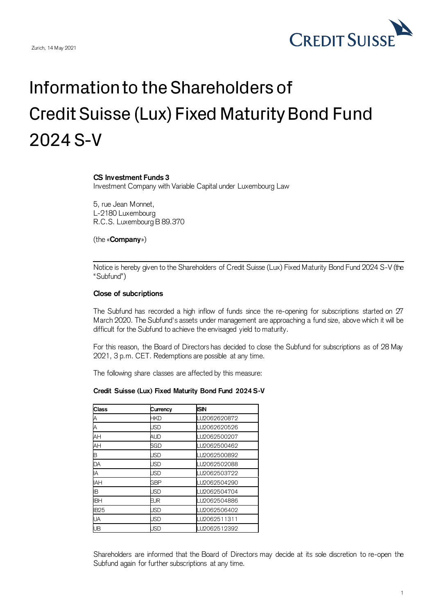

## Information to the Shareholders of Credit Suisse (Lux) Fixed Maturity Bond Fund 2024 S-V

## **CS Investment Funds 3**

Investment Company with Variable Capital under Luxembourg Law

5, rue Jean Monnet, L-2180 Luxembourg R.C.S. Luxembourg B 89.370

(the «**Company**»)

Notice is hereby given to the Shareholders of Credit Suisse (Lux) Fixed Maturity Bond Fund 2024 S-V (the "Subfund")

## **Close of subcriptions**

The Subfund has recorded a high inflow of funds since the re-opening for subscriptions started on 27 March 2020. The Subfund's assets under management are approaching a fund size, above which it will be difficult for the Subfund to achieve the envisaged yield to maturity.

For this reason, the Board of Directors has decided to close the Subfund for subscriptions as of 28 May 2021, 3 p.m. CET. Redemptions are possible at any time.

The following share classes are affected by this measure:

## **Credit Suisse (Lux) Fixed Maturity Bond Fund 2024 S-V**

| Class       | Currency   | <b>ISIN</b>  |
|-------------|------------|--------------|
|             | HKD        | LU2062620872 |
| А           | JSD        | LU2062620526 |
| AH          | <b>AUD</b> | LU2062500207 |
| AH          | SGD        | LU2062500462 |
| B           | <b>JSD</b> | LU2062500892 |
| DA          | <b>JSD</b> | LU2062502088 |
| IA          | <b>JSD</b> | LU2062503722 |
| <b>IAH</b>  | <b>GBP</b> | LU2062504290 |
| ΙB          | JSD        | LU2062504704 |
| <b>IBH</b>  | EUR        | LU2062504886 |
| <b>IB25</b> | <b>JSD</b> | LU2062506402 |
| UA          | <b>JSD</b> | LU2062511311 |
| UB          | <b>JSD</b> | LU2062512392 |

Shareholders are informed that the Board of Directors may decide at its sole discretion to re-open the Subfund again for further subscriptions at any time.